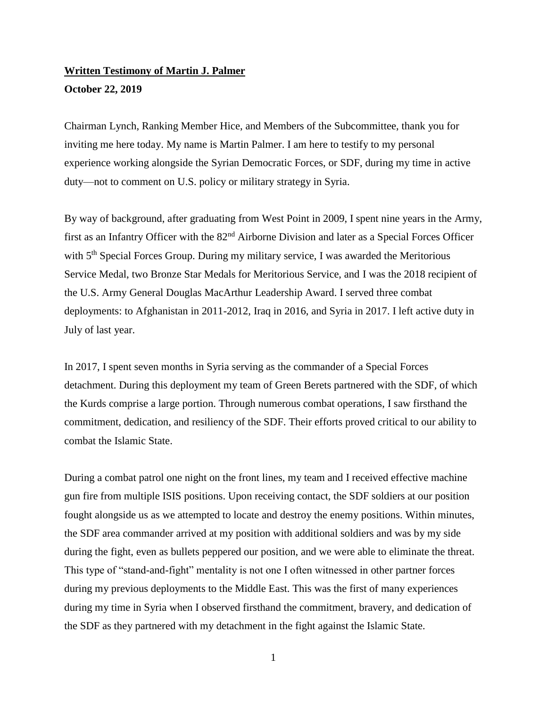## **Written Testimony of Martin J. Palmer October 22, 2019**

Chairman Lynch, Ranking Member Hice, and Members of the Subcommittee, thank you for inviting me here today. My name is Martin Palmer. I am here to testify to my personal experience working alongside the Syrian Democratic Forces, or SDF, during my time in active duty—not to comment on U.S. policy or military strategy in Syria.

By way of background, after graduating from West Point in 2009, I spent nine years in the Army, first as an Infantry Officer with the 82<sup>nd</sup> Airborne Division and later as a Special Forces Officer with 5<sup>th</sup> Special Forces Group. During my military service, I was awarded the Meritorious Service Medal, two Bronze Star Medals for Meritorious Service, and I was the 2018 recipient of the U.S. Army General Douglas MacArthur Leadership Award. I served three combat deployments: to Afghanistan in 2011-2012, Iraq in 2016, and Syria in 2017. I left active duty in July of last year.

In 2017, I spent seven months in Syria serving as the commander of a Special Forces detachment. During this deployment my team of Green Berets partnered with the SDF, of which the Kurds comprise a large portion. Through numerous combat operations, I saw firsthand the commitment, dedication, and resiliency of the SDF. Their efforts proved critical to our ability to combat the Islamic State.

During a combat patrol one night on the front lines, my team and I received effective machine gun fire from multiple ISIS positions. Upon receiving contact, the SDF soldiers at our position fought alongside us as we attempted to locate and destroy the enemy positions. Within minutes, the SDF area commander arrived at my position with additional soldiers and was by my side during the fight, even as bullets peppered our position, and we were able to eliminate the threat. This type of "stand-and-fight" mentality is not one I often witnessed in other partner forces during my previous deployments to the Middle East. This was the first of many experiences during my time in Syria when I observed firsthand the commitment, bravery, and dedication of the SDF as they partnered with my detachment in the fight against the Islamic State.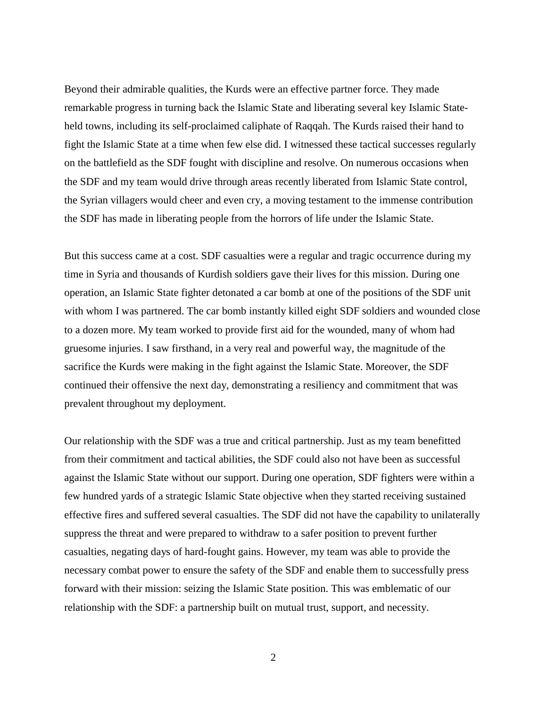Beyond their admirable qualities, the Kurds were an effective partner force. They made remarkable progress in turning back the Islamic State and liberating several key Islamic Stateheld towns, including its self-proclaimed caliphate of Raqqah. The Kurds raised their hand to fight the Islamic State at a time when few else did. I witnessed these tactical successes regularly on the battlefield as the SDF fought with discipline and resolve. On numerous occasions when the SDF and my team would drive through areas recently liberated from Islamic State control, the Syrian villagers would cheer and even cry, a moving testament to the immense contribution the SDF has made in liberating people from the horrors of life under the Islamic State.

But this success came at a cost. SDF casualties were a regular and tragic occurrence during my time in Syria and thousands of Kurdish soldiers gave their lives for this mission. During one operation, an Islamic State fighter detonated a car bomb at one of the positions of the SDF unit with whom I was partnered. The car bomb instantly killed eight SDF soldiers and wounded close to a dozen more. My team worked to provide first aid for the wounded, many of whom had gruesome injuries. I saw firsthand, in a very real and powerful way, the magnitude of the sacrifice the Kurds were making in the fight against the Islamic State. Moreover, the SDF continued their offensive the next day, demonstrating a resiliency and commitment that was prevalent throughout my deployment.

Our relationship with the SDF was a true and critical partnership. Just as my team benefitted from their commitment and tactical abilities, the SDF could also not have been as successful against the Islamic State without our support. During one operation, SDF fighters were within a few hundred yards of a strategic Islamic State objective when they started receiving sustained effective fires and suffered several casualties. The SDF did not have the capability to unilaterally suppress the threat and were prepared to withdraw to a safer position to prevent further casualties, negating days of hard-fought gains. However, my team was able to provide the necessary combat power to ensure the safety of the SDF and enable them to successfully press forward with their mission: seizing the Islamic State position. This was emblematic of our relationship with the SDF: a partnership built on mutual trust, support, and necessity.

2